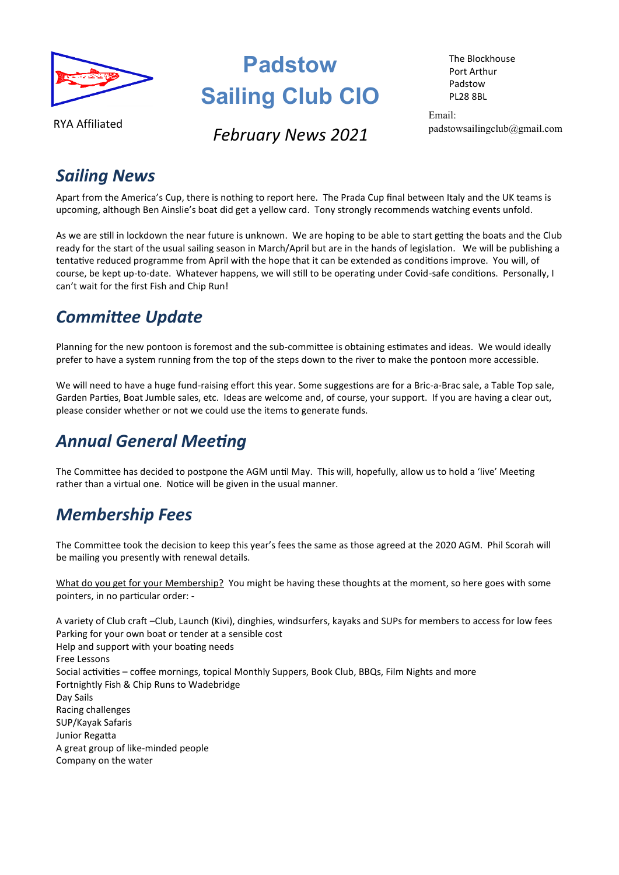

# **Padstow Sailing Club CIO**

The Blockhouse Port Arthur Padstow PL28 8BL

RYA Affiliated

**February News 2021** 

Email: padstowsailingclub@gmail.com

## *Sailing News*

Apart from the America's Cup, there is nothing to report here. The Prada Cup final between Italy and the UK teams is upcoming, although Ben Ainslie's boat did get a yellow card. Tony strongly recommends watching events unfold.

As we are still in lockdown the near future is unknown. We are hoping to be able to start getting the boats and the Club ready for the start of the usual sailing season in March/April but are in the hands of legislation. We will be publishing a tentative reduced programme from April with the hope that it can be extended as conditions improve. You will, of course, be kept up-to-date. Whatever happens, we will still to be operating under Covid-safe conditions. Personally, I can't wait for the first Fish and Chip Run!

## *Committee Update*

Planning for the new pontoon is foremost and the sub-committee is obtaining estimates and ideas. We would ideally prefer to have a system running from the top of the steps down to the river to make the pontoon more accessible.

We will need to have a huge fund-raising effort this year. Some suggestions are for a Bric-a-Brac sale, a Table Top sale, Garden Parties, Boat Jumble sales, etc. Ideas are welcome and, of course, your support. If you are having a clear out, please consider whether or not we could use the items to generate funds.

# *Annual General Meeting*

The Committee has decided to postpone the AGM until May. This will, hopefully, allow us to hold a 'live' Meeting rather than a virtual one. Notice will be given in the usual manner.

# *Membership Fees*

The Committee took the decision to keep this year's fees the same as those agreed at the 2020 AGM. Phil Scorah will be mailing you presently with renewal details.

What do you get for your Membership? You might be having these thoughts at the moment, so here goes with some pointers, in no particular order: -

A variety of Club craft –Club, Launch (Kivi), dinghies, windsurfers, kayaks and SUPs for members to access for low fees Parking for your own boat or tender at a sensible cost Help and support with your boating needs Free Lessons Social activities – coffee mornings, topical Monthly Suppers, Book Club, BBQs, Film Nights and more Fortnightly Fish & Chip Runs to Wadebridge Day Sails Racing challenges SUP/Kayak Safaris Junior Regatta A great group of like-minded people Company on the water